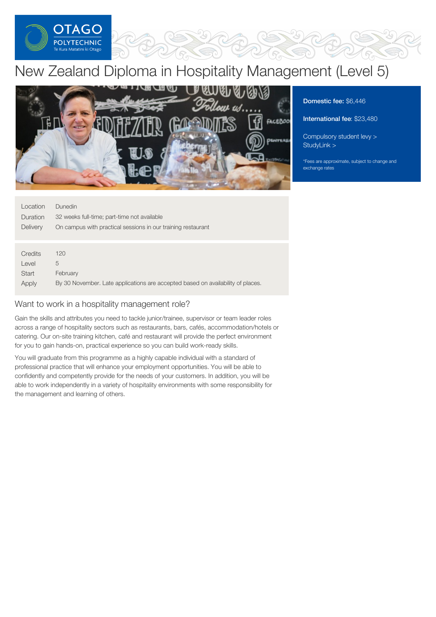

# New Zealand Diploma in Hospitality Management (Level 5)



Domestic fee: \$6,446

International fee: \$23,480

[Compulsory](https://online.op.ac.nz/students/important-information/student-services-levy/) student levy > [StudyLink](https://www.studylink.govt.nz/) >

\*Fees are approximate, subject to change and exchange rates

| Location        | <b>Dunedin</b>                                                                  |
|-----------------|---------------------------------------------------------------------------------|
| <b>Duration</b> | 32 weeks full-time; part-time not available                                     |
| Delivery        | On campus with practical sessions in our training restaurant                    |
|                 |                                                                                 |
|                 |                                                                                 |
| Credits         | 120                                                                             |
| Level           | 5                                                                               |
| Start           | February                                                                        |
| Apply           | By 30 November. Late applications are accepted based on availability of places. |

# Want to work in a hospitality management role?

Gain the skills and attributes you need to tackle junior/trainee, supervisor or team leader roles across a range of hospitality sectors such as restaurants, bars, cafés, accommodation/hotels or catering. Our on-site training kitchen, café and restaurant will provide the perfect environment for you to gain hands-on, practical experience so you can build work-ready skills.

You will graduate from this programme as a highly capable individual with a standard of professional practice that will enhance your employment opportunities. You will be able to confidently and competently provide for the needs of your customers. In addition, you will be able to work independently in a variety of hospitality environments with some responsibility for the management and learning of others.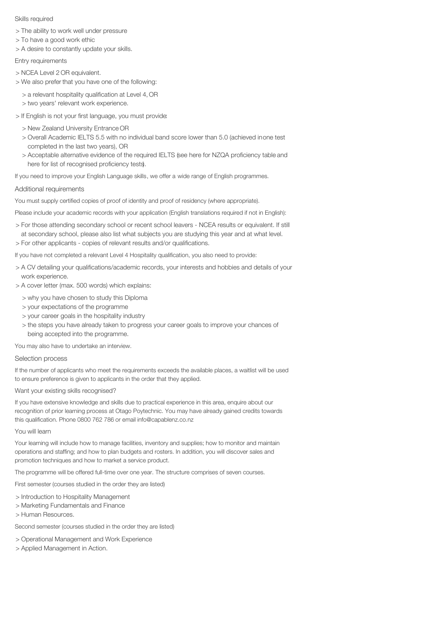## Skills required

- > The ability to work well under pressure
- > To have a good work ethic
- > A desire to constantly update your skills.

# Entry requirements

- > NCEA Level 2 OR equivalent.
- > We also prefer that you have one of the following:
	- > a relevant hospitality qualification at Level 4,OR
	- > two years' relevant work experience.
- > If English is not your first language, you must provide:
	- > New Zealand University Entrance OR
	- > Overall Academic IELTS 5.5 with no individual band score lower than 5.0 (achieved inone test completed in the last two years), OR
	- > Acceptable alternative evidence of the required IELTS (see here for NZQA proficiency table and here for list of recognised proficiency tests).

If you need to improve your English Language skills, we offer a wide range of English programmes.

# Additional requirements

You must supply certified copies of proof of identity and proof of residency (where appropriate).

Please include your academic records with your application (English translations required if not in English):

> For those attending secondary school or recent school leavers - NCEA results or equivalent. If still at secondary school, please also list what subjects you are studying this year and at what level. > For other applicants - copies of relevant results and/or qualifications.

If you have not completed a relevant Level 4 Hospitality qualification, you also need to provide:

- > A CV detailing your qualifications/academic records, your interests and hobbies and details of your work experience.
- > A cover letter (max. 500 words) which explains:
	- > why you have chosen to study this Diploma
	- > your expectations of the programme
	- > your career goals in the hospitality industry
	- > the steps you have already taken to progress your career goals to improve your chances of being accepted into the programme.

You may also have to undertake an interview.

## Selection process

If the number of applicants who meet the requirements exceeds the available places, a waitlist will be used to ensure preference is given to applicants in the order that they applied.

## Want your existing skills recognised?

If you have extensive knowledge and skills due to practical experience in this area, enquire about our recognition of prior learning process at Otago Poytechnic. You may have already gained credits towards this qualification. Phone 0800 762 786 or email info@capablenz.co.nz

## You will learn

Your learning will include how to manage facilities, inventory and supplies; how to monitor and maintain operations and staffing; and how to plan budgets and rosters. In addition, you will discover sales and promotion techniques and how to market a service product.

The programme will be offered full-time over one year. The structure comprises of seven courses.

First semester (courses studied in the order they are listed)

- > Introduction to Hospitality Management
- > Marketing Fundamentals and Finance
- > Human Resources.

Second semester (courses studied in the order they are listed)

- > Operational Management and Work Experience
- > Applied Management in Action.